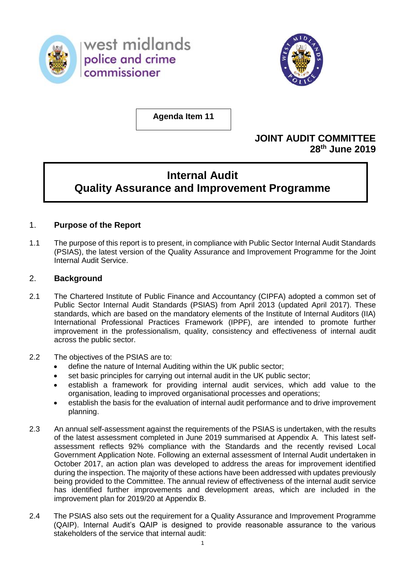

west midlands police and crime commissioner



**Agenda Item 11**

# **JOINT AUDIT COMMITTEE 28 th June 2019**

# **Internal Audit Quality Assurance and Improvement Programme**

### 1. **Purpose of the Report**

1.1 The purpose of this report is to present, in compliance with Public Sector Internal Audit Standards (PSIAS), the latest version of the Quality Assurance and Improvement Programme for the Joint Internal Audit Service.

### 2. **Background**

- 2.1 The Chartered Institute of Public Finance and Accountancy (CIPFA) adopted a common set of Public Sector Internal Audit Standards (PSIAS) from April 2013 (updated April 2017). These standards, which are based on the mandatory elements of the Institute of Internal Auditors (IIA) International Professional Practices Framework (IPPF), are intended to promote further improvement in the professionalism, quality, consistency and effectiveness of internal audit across the public sector.
- 2.2 The objectives of the PSIAS are to:
	- define the nature of Internal Auditing within the UK public sector;
	- set basic principles for carrying out internal audit in the UK public sector;
	- establish a framework for providing internal audit services, which add value to the organisation, leading to improved organisational processes and operations;
	- establish the basis for the evaluation of internal audit performance and to drive improvement planning.
- 2.3 An annual self-assessment against the requirements of the PSIAS is undertaken, with the results of the latest assessment completed in June 2019 summarised at Appendix A. This latest selfassessment reflects 92% compliance with the Standards and the recently revised Local Government Application Note. Following an external assessment of Internal Audit undertaken in October 2017, an action plan was developed to address the areas for improvement identified during the inspection. The majority of these actions have been addressed with updates previously being provided to the Committee. The annual review of effectiveness of the internal audit service has identified further improvements and development areas, which are included in the improvement plan for 2019/20 at Appendix B.
- 2.4 The PSIAS also sets out the requirement for a Quality Assurance and Improvement Programme (QAIP). Internal Audit's QAIP is designed to provide reasonable assurance to the various stakeholders of the service that internal audit: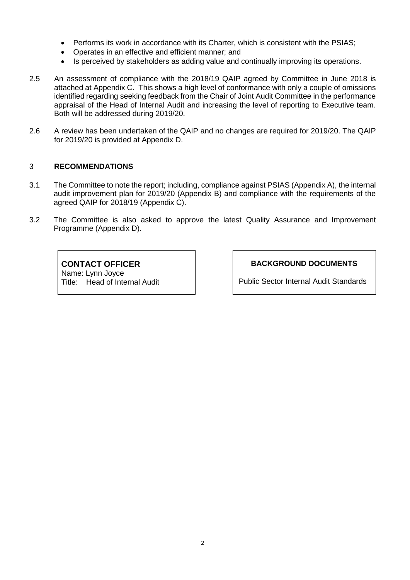- Performs its work in accordance with its Charter, which is consistent with the PSIAS;
- Operates in an effective and efficient manner; and
- Is perceived by stakeholders as adding value and continually improving its operations.
- 2.5 An assessment of compliance with the 2018/19 QAIP agreed by Committee in June 2018 is attached at Appendix C. This shows a high level of conformance with only a couple of omissions identified regarding seeking feedback from the Chair of Joint Audit Committee in the performance appraisal of the Head of Internal Audit and increasing the level of reporting to Executive team. Both will be addressed during 2019/20.
- 2.6 A review has been undertaken of the QAIP and no changes are required for 2019/20. The QAIP for 2019/20 is provided at Appendix D.

### 3 **RECOMMENDATIONS**

- 3.1 The Committee to note the report; including, compliance against PSIAS (Appendix A), the internal audit improvement plan for 2019/20 (Appendix B) and compliance with the requirements of the agreed QAIP for 2018/19 (Appendix C).
- 3.2 The Committee is also asked to approve the latest Quality Assurance and Improvement Programme (Appendix D).

**CONTACT OFFICER** Name: Lynn Joyce Title: Head of Internal Audit **BACKGROUND DOCUMENTS**

Public Sector Internal Audit Standards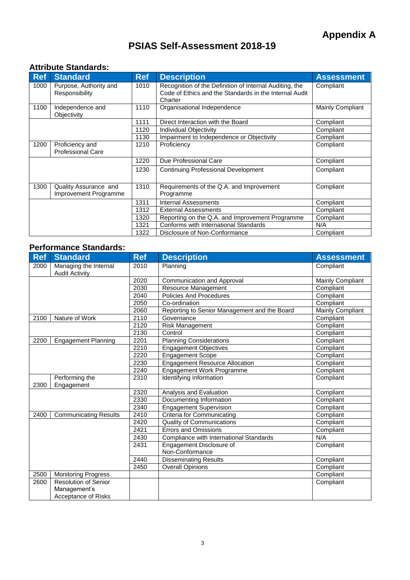# **PSIAS Self-Assessment 2018-19**

### **Attribute Standards:**

| <b>Ref</b>                                                  | <b>Standard</b>                          | <b>Ref</b> | <b>Description</b>                                                                                                           | <b>Assessment</b> |
|-------------------------------------------------------------|------------------------------------------|------------|------------------------------------------------------------------------------------------------------------------------------|-------------------|
| 1000                                                        | Purpose, Authority and<br>Responsibility | 1010       | Recognition of the Definition of Internal Auditing, the<br>Code of Ethics and the Standards in the Internal Audit<br>Charter | Compliant         |
| 1100                                                        | Independence and<br>Objectivity          | 1110       | Organisational Independence                                                                                                  | Mainly Compliant  |
|                                                             |                                          | 1111       | Direct Interaction with the Board                                                                                            | Compliant         |
|                                                             |                                          | 1120       | Individual Objectivity                                                                                                       | Compliant         |
|                                                             |                                          | 1130       | Impairment to Independence or Objectivity                                                                                    | Compliant         |
| 1200<br>Proficiency and<br>1210<br><b>Professional Care</b> |                                          |            | Proficiency                                                                                                                  | Compliant         |
|                                                             |                                          | 1220       | Due Professional Care                                                                                                        | Compliant         |
|                                                             |                                          | 1230       | <b>Continuing Professional Development</b>                                                                                   | Compliant         |
| 1300<br>Quality Assurance and<br>Improvement Programme      |                                          | 1310       | Requirements of the Q.A. and Improvement<br>Programme                                                                        | Compliant         |
|                                                             |                                          | 1311       | <b>Internal Assessments</b>                                                                                                  | Compliant         |
|                                                             |                                          | 1312       | <b>External Assessments</b>                                                                                                  | Compliant         |
|                                                             |                                          | 1320       | Reporting on the Q.A. and Improvement Programme                                                                              | Compliant         |
|                                                             |                                          | 1321       | Conforms with International Standards                                                                                        | N/A               |
|                                                             |                                          | 1322       | Disclosure of Non-Conformance                                                                                                | Compliant         |

### **Performance Standards:**

| <b>Ref</b> | <b>Standard</b>                                | <b>Ref</b> | <b>Description</b>                           | <b>Assessment</b> |
|------------|------------------------------------------------|------------|----------------------------------------------|-------------------|
| 2000       | Managing the Internal<br><b>Audit Activity</b> | 2010       | Planning                                     | Compliant         |
|            |                                                | 2020       | Communication and Approval                   | Mainly Compliant  |
|            |                                                | 2030       | Resource Management                          | Compliant         |
|            |                                                | 2040       | <b>Policies And Procedures</b>               | Compliant         |
|            |                                                | 2050       | Co-ordination                                | Compliant         |
|            |                                                | 2060       | Reporting to Senior Management and the Board | Mainly Compliant  |
| 2100       | Nature of Work                                 | 2110       | Governance                                   | Compliant         |
|            |                                                | 2120       | Risk Management                              | Compliant         |
|            |                                                | 2130       | Control                                      | Compliant         |
| 2200       | <b>Engagement Planning</b>                     | 2201       | <b>Planning Considerations</b>               | Compliant         |
|            |                                                | 2210       | <b>Engagement Objectives</b>                 | Compliant         |
|            |                                                | 2220       | <b>Engagement Scope</b>                      | Compliant         |
|            |                                                | 2230       | <b>Engagement Resource Allocation</b>        | Compliant         |
|            |                                                | 2240       | Engagement Work Programme                    | Compliant         |
| 2300       | Performing the<br>Engagement                   | 2310       | Identifying Information                      | Compliant         |
|            |                                                | 2320       | Analysis and Evaluation                      | Compliant         |
|            |                                                | 2330       | Documenting Information                      | Compliant         |
|            |                                                | 2340       | <b>Engagement Supervision</b>                | Compliant         |
| 2400       | <b>Communicating Results</b>                   | 2410       | Criteria for Communicating                   | Compliant         |
|            |                                                | 2420       | <b>Quality of Communications</b>             | Compliant         |
|            |                                                | 2421       | <b>Errors and Omissions</b>                  | Compliant         |
|            |                                                | 2430       | Compliance with International Standards      | N/A               |
|            |                                                | 2431       | Engagement Disclosure of<br>Non-Conformance  | Compliant         |
|            |                                                | 2440       | <b>Disseminating Results</b>                 | Compliant         |
|            |                                                | 2450       | <b>Overall Opinions</b>                      | Compliant         |
| 2500       | <b>Monitoring Progress</b>                     |            |                                              | Compliant         |
| 2600       | <b>Resolution of Senior</b>                    |            |                                              | Compliant         |
|            | Management's                                   |            |                                              |                   |
|            | <b>Acceptance of Risks</b>                     |            |                                              |                   |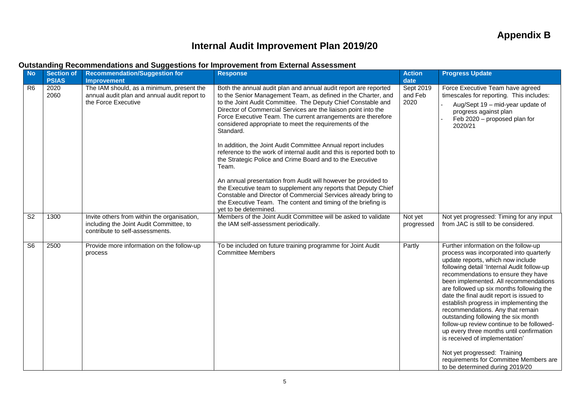# **Internal Audit Improvement Plan 2019/20**

### **Outstanding Recommendations and Suggestions for Improvement from External Assessment**

| <b>No</b>      | <b>Section of</b><br><b>PSIAS</b> | <b>Recommendation/Suggestion for</b><br><b>Improvement</b>                                                                | <b>Response</b>                                                                                                                                                                                                                                                                                                                                                                                                                                                                                                                                                                                                                                                                                                                                                                                                                                                                                                         | <b>Action</b><br>date        | <b>Progress Update</b>                                                                                                                                                                                                                                                                                                                                                                                                                                                                                                                                                                                                                                                                                  |
|----------------|-----------------------------------|---------------------------------------------------------------------------------------------------------------------------|-------------------------------------------------------------------------------------------------------------------------------------------------------------------------------------------------------------------------------------------------------------------------------------------------------------------------------------------------------------------------------------------------------------------------------------------------------------------------------------------------------------------------------------------------------------------------------------------------------------------------------------------------------------------------------------------------------------------------------------------------------------------------------------------------------------------------------------------------------------------------------------------------------------------------|------------------------------|---------------------------------------------------------------------------------------------------------------------------------------------------------------------------------------------------------------------------------------------------------------------------------------------------------------------------------------------------------------------------------------------------------------------------------------------------------------------------------------------------------------------------------------------------------------------------------------------------------------------------------------------------------------------------------------------------------|
| R <sub>6</sub> | 2020<br>2060                      | The IAM should, as a minimum, present the<br>annual audit plan and annual audit report to<br>the Force Executive          | Both the annual audit plan and annual audit report are reported<br>to the Senior Management Team, as defined in the Charter, and<br>to the Joint Audit Committee. The Deputy Chief Constable and<br>Director of Commercial Services are the liaison point into the<br>Force Executive Team. The current arrangements are therefore<br>considered appropriate to meet the requirements of the<br>Standard.<br>In addition, the Joint Audit Committee Annual report includes<br>reference to the work of internal audit and this is reported both to<br>the Strategic Police and Crime Board and to the Executive<br>Team.<br>An annual presentation from Audit will however be provided to<br>the Executive team to supplement any reports that Deputy Chief<br>Constable and Director of Commercial Services already bring to<br>the Executive Team. The content and timing of the briefing is<br>yet to be determined. | Sept 2019<br>and Feb<br>2020 | Force Executive Team have agreed<br>timescales for reporting. This includes:<br>Aug/Sept 19 - mid-year update of<br>progress against plan<br>Feb 2020 - proposed plan for<br>2020/21                                                                                                                                                                                                                                                                                                                                                                                                                                                                                                                    |
| S <sub>2</sub> | 1300                              | Invite others from within the organisation,<br>including the Joint Audit Committee, to<br>contribute to self-assessments. | Members of the Joint Audit Committee will be asked to validate<br>the IAM self-assessment periodically.                                                                                                                                                                                                                                                                                                                                                                                                                                                                                                                                                                                                                                                                                                                                                                                                                 | Not yet<br>progressed        | Not yet progressed: Timing for any input<br>from JAC is still to be considered.                                                                                                                                                                                                                                                                                                                                                                                                                                                                                                                                                                                                                         |
| S <sub>6</sub> | 2500                              | Provide more information on the follow-up<br>process                                                                      | To be included on future training programme for Joint Audit<br><b>Committee Members</b>                                                                                                                                                                                                                                                                                                                                                                                                                                                                                                                                                                                                                                                                                                                                                                                                                                 | Partly                       | Further information on the follow-up<br>process was incorporated into quarterly<br>update reports, which now include<br>following detail 'Internal Audit follow-up<br>recommendations to ensure they have<br>been implemented. All recommendations<br>are followed up six months following the<br>date the final audit report is issued to<br>establish progress in implementing the<br>recommendations. Any that remain<br>outstanding following the six month<br>follow-up review continue to be followed-<br>up every three months until confirmation<br>is received of implementation'<br>Not yet progressed: Training<br>requirements for Committee Members are<br>to be determined during 2019/20 |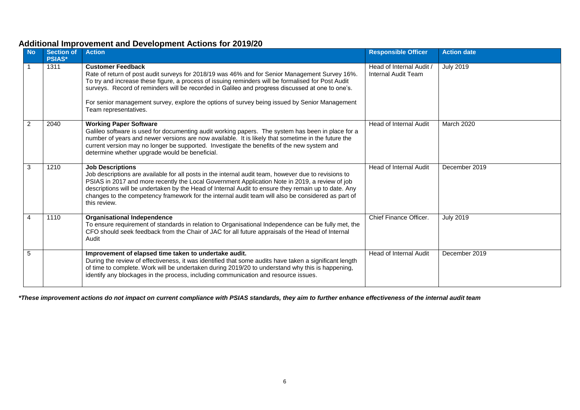### **Additional Improvement and Development Actions for 2019/20**

| <b>No</b> | <b>Section of</b><br><b>PSIAS*</b> | <b>Action</b>                                                                                                                                                                                                                                                                                                                                                                                                                                                  | <b>Responsible Officer</b>                      | <b>Action date</b> |
|-----------|------------------------------------|----------------------------------------------------------------------------------------------------------------------------------------------------------------------------------------------------------------------------------------------------------------------------------------------------------------------------------------------------------------------------------------------------------------------------------------------------------------|-------------------------------------------------|--------------------|
|           | 1311                               | <b>Customer Feedback</b><br>Rate of return of post audit surveys for 2018/19 was 46% and for Senior Management Survey 16%.<br>To try and increase these figure, a process of issuing reminders will be formalised for Post Audit<br>surveys. Record of reminders will be recorded in Galileo and progress discussed at one to one's.<br>For senior management survey, explore the options of survey being issued by Senior Management<br>Team representatives. | Head of Internal Audit /<br>Internal Audit Team | <b>July 2019</b>   |
| 2         | 2040                               | <b>Working Paper Software</b><br>Galileo software is used for documenting audit working papers. The system has been in place for a<br>number of years and newer versions are now available. It is likely that sometime in the future the<br>current version may no longer be supported. Investigate the benefits of the new system and<br>determine whether upgrade would be beneficial.                                                                       | <b>Head of Internal Audit</b>                   | March 2020         |
| 3         | 1210                               | <b>Job Descriptions</b><br>Job descriptions are available for all posts in the internal audit team, however due to revisions to<br>PSIAS in 2017 and more recently the Local Government Application Note in 2019, a review of job<br>descriptions will be undertaken by the Head of Internal Audit to ensure they remain up to date. Any<br>changes to the competency framework for the internal audit team will also be considered as part of<br>this review. | <b>Head of Internal Audit</b>                   | December 2019      |
| 4         | 1110                               | <b>Organisational Independence</b><br>To ensure requirement of standards in relation to Organisational Independence can be fully met, the<br>CFO should seek feedback from the Chair of JAC for all future appraisals of the Head of Internal<br>Audit                                                                                                                                                                                                         | Chief Finance Officer.                          | <b>July 2019</b>   |
| 5         |                                    | Improvement of elapsed time taken to undertake audit.<br>During the review of effectiveness, it was identified that some audits have taken a significant length<br>of time to complete. Work will be undertaken during 2019/20 to understand why this is happening,<br>identify any blockages in the process, including communication and resource issues.                                                                                                     | Head of Internal Audit                          | December 2019      |

*\*These improvement actions do not impact on current compliance with PSIAS standards, they aim to further enhance effectiveness of the internal audit team*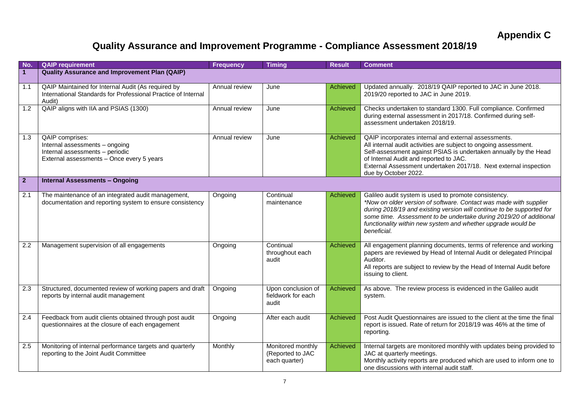# **Quality Assurance and Improvement Programme - Compliance Assessment 2018/19**

| No.            | <b>QAIP requirement</b>                                                                                                           | <b>Frequency</b> | <b>Timing</b>                                          | <b>Result</b>   | <b>Comment</b>                                                                                                                                                                                                                                                                                                                                          |
|----------------|-----------------------------------------------------------------------------------------------------------------------------------|------------------|--------------------------------------------------------|-----------------|---------------------------------------------------------------------------------------------------------------------------------------------------------------------------------------------------------------------------------------------------------------------------------------------------------------------------------------------------------|
| $\mathbf{1}$   | <b>Quality Assurance and Improvement Plan (QAIP)</b>                                                                              |                  |                                                        |                 |                                                                                                                                                                                                                                                                                                                                                         |
| 1.1            | QAIP Maintained for Internal Audit (As required by<br>International Standards for Professional Practice of Internal<br>Audit)     | Annual review    | June                                                   | Achieved        | Updated annually. 2018/19 QAIP reported to JAC in June 2018.<br>2019/20 reported to JAC in June 2019.                                                                                                                                                                                                                                                   |
| 1.2            | QAIP aligns with IIA and PSIAS (1300)                                                                                             | Annual review    | June                                                   | <b>Achieved</b> | Checks undertaken to standard 1300. Full compliance. Confirmed<br>during external assessment in 2017/18. Confirmed during self-<br>assessment undertaken 2018/19.                                                                                                                                                                                       |
| 1.3            | QAIP comprises:<br>Internal assessments - ongoing<br>Internal assessments - periodic<br>External assessments - Once every 5 years | Annual review    | June                                                   | Achieved        | QAIP incorporates internal and external assessments.<br>All internal audit activities are subject to ongoing assessment.<br>Self-assessment against PSIAS is undertaken annually by the Head<br>of Internal Audit and reported to JAC.<br>External Assessment undertaken 2017/18. Next external inspection<br>due by October 2022.                      |
| 2 <sup>2</sup> | <b>Internal Assessments - Ongoing</b>                                                                                             |                  |                                                        |                 |                                                                                                                                                                                                                                                                                                                                                         |
| 2.1            | The maintenance of an integrated audit management,<br>documentation and reporting system to ensure consistency                    | Ongoing          | Continual<br>maintenance                               | <b>Achieved</b> | Galileo audit system is used to promote consistency.<br>*Now on older version of software. Contact was made with supplier<br>during 2018/19 and existing version will continue to be supported for<br>some time. Assessment to be undertake during 2019/20 of additional<br>functionality within new system and whether upgrade would be<br>beneficial. |
| 2.2            | Management supervision of all engagements                                                                                         | Ongoing          | Continual<br>throughout each<br>audit                  | <b>Achieved</b> | All engagement planning documents, terms of reference and working<br>papers are reviewed by Head of Internal Audit or delegated Principal<br>Auditor.<br>All reports are subject to review by the Head of Internal Audit before<br>issuing to client.                                                                                                   |
| 2.3            | Structured, documented review of working papers and draft<br>reports by internal audit management                                 | Ongoing          | Upon conclusion of<br>fieldwork for each<br>audit      | <b>Achieved</b> | As above. The review process is evidenced in the Galileo audit<br>system.                                                                                                                                                                                                                                                                               |
| 2.4            | Feedback from audit clients obtained through post audit<br>questionnaires at the closure of each engagement                       | Ongoing          | After each audit                                       | Achieved        | Post Audit Questionnaires are issued to the client at the time the final<br>report is issued. Rate of return for 2018/19 was 46% at the time of<br>reporting.                                                                                                                                                                                           |
| 2.5            | Monitoring of internal performance targets and quarterly<br>reporting to the Joint Audit Committee                                | Monthly          | Monitored monthly<br>(Reported to JAC<br>each quarter) | Achieved        | Internal targets are monitored monthly with updates being provided to<br>JAC at quarterly meetings.<br>Monthly activity reports are produced which are used to inform one to<br>one discussions with internal audit staff.                                                                                                                              |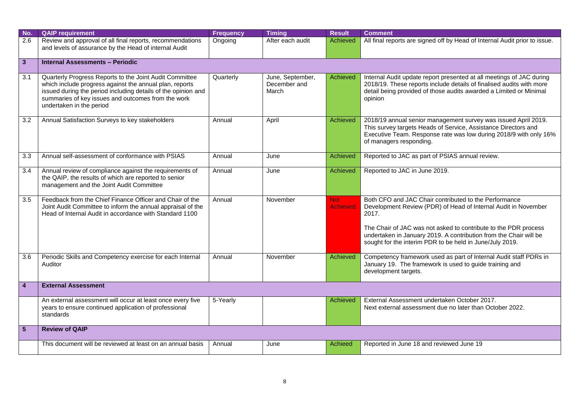| No.                     | <b>QAIP requirement</b>                                                                                                                                                                                                                                               | <b>Frequency</b> | <b>Timing</b>                             | <b>Result</b>                 | <b>Comment</b>                                                                                                                                                                                                                                                                                                                       |
|-------------------------|-----------------------------------------------------------------------------------------------------------------------------------------------------------------------------------------------------------------------------------------------------------------------|------------------|-------------------------------------------|-------------------------------|--------------------------------------------------------------------------------------------------------------------------------------------------------------------------------------------------------------------------------------------------------------------------------------------------------------------------------------|
| 2.6                     | Review and approval of all final reports, recommendations<br>and levels of assurance by the Head of internal Audit                                                                                                                                                    | Ongoing          | After each audit                          | Achieved                      | All final reports are signed off by Head of Internal Audit prior to issue.                                                                                                                                                                                                                                                           |
|                         |                                                                                                                                                                                                                                                                       |                  |                                           |                               |                                                                                                                                                                                                                                                                                                                                      |
| 3 <sup>2</sup>          | <b>Internal Assessments - Periodic</b>                                                                                                                                                                                                                                |                  |                                           |                               |                                                                                                                                                                                                                                                                                                                                      |
| 3.1                     | Quarterly Progress Reports to the Joint Audit Committee<br>which include progress against the annual plan, reports<br>issued during the period including details of the opinion and<br>summaries of key issues and outcomes from the work<br>undertaken in the period | Quarterly        | June, September,<br>December and<br>March | Achieved                      | Internal Audit update report presented at all meetings of JAC during<br>2018/19. These reports include details of finalised audits with more<br>detail being provided of those audits awarded a Limited or Minimal<br>opinion                                                                                                        |
| 3.2                     | Annual Satisfaction Surveys to key stakeholders                                                                                                                                                                                                                       | Annual           | April                                     | Achieved                      | 2018/19 annual senior management survey was issued April 2019.<br>This survey targets Heads of Service, Assistance Directors and<br>Executive Team. Response rate was low during 2018/9 with only 16%<br>of managers responding.                                                                                                     |
| 3.3                     | Annual self-assessment of conformance with PSIAS                                                                                                                                                                                                                      | Annual           | June                                      | Achieved                      | Reported to JAC as part of PSIAS annual review.                                                                                                                                                                                                                                                                                      |
| 3.4                     | Annual review of compliance against the requirements of<br>the QAIP, the results of which are reported to senior<br>management and the Joint Audit Committee                                                                                                          | Annual           | June                                      | Achieved                      | Reported to JAC in June 2019.                                                                                                                                                                                                                                                                                                        |
| 3.5                     | Feedback from the Chief Finance Officer and Chair of the<br>Joint Audit Committee to inform the annual appraisal of the<br>Head of Internal Audit in accordance with Standard 1100                                                                                    | Annual           | November                                  | <b>Not</b><br><b>Achieved</b> | Both CFO and JAC Chair contributed to the Performance<br>Development Review (PDR) of Head of Internal Audit in November<br>2017.<br>The Chair of JAC was not asked to contribute to the PDR process<br>undertaken in January 2019. A contribution from the Chair will be<br>sought for the interim PDR to be held in June/July 2019. |
|                         |                                                                                                                                                                                                                                                                       |                  |                                           |                               |                                                                                                                                                                                                                                                                                                                                      |
| 3.6                     | Periodic Skills and Competency exercise for each Internal<br>Auditor                                                                                                                                                                                                  | Annual           | November                                  | Achieved                      | Competency framework used as part of Internal Audit staff PDRs in<br>January 19. The framework is used to guide training and<br>development targets.                                                                                                                                                                                 |
| $\overline{\mathbf{4}}$ | <b>External Assessment</b>                                                                                                                                                                                                                                            |                  |                                           |                               |                                                                                                                                                                                                                                                                                                                                      |
|                         | An external assessment will occur at least once every five<br>years to ensure continued application of professional<br>standards                                                                                                                                      | 5-Yearly         |                                           | Achieved                      | External Assessment undertaken October 2017.<br>Next external assessment due no later than October 2022.                                                                                                                                                                                                                             |
| 5 <sup>5</sup>          | <b>Review of QAIP</b>                                                                                                                                                                                                                                                 |                  |                                           |                               |                                                                                                                                                                                                                                                                                                                                      |
|                         | This document will be reviewed at least on an annual basis                                                                                                                                                                                                            | Annual           | June                                      | Achieed                       | Reported in June 18 and reviewed June 19                                                                                                                                                                                                                                                                                             |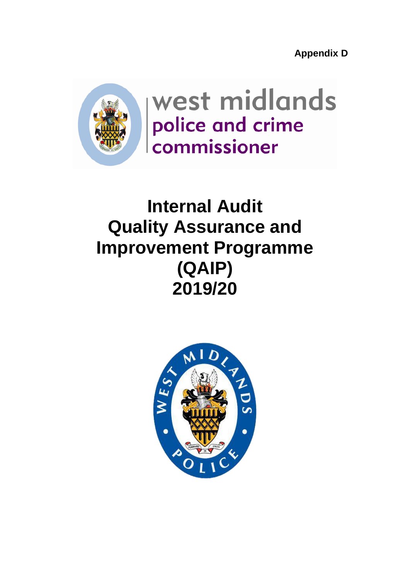**Appendix D**



west midlands police and crime commissioner

# **Internal Audit Quality Assurance and Improvement Programme (QAIP) 2019/20**

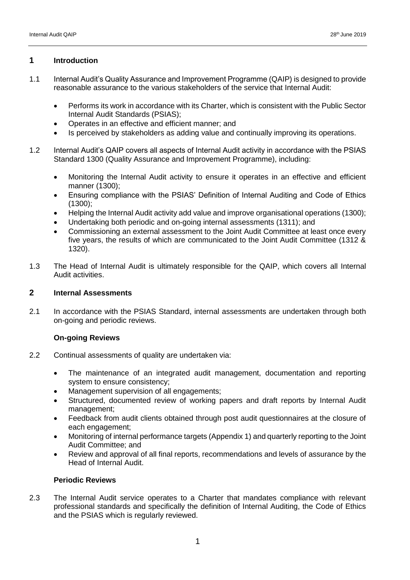#### **1 Introduction**

- 1.1 Internal Audit's Quality Assurance and Improvement Programme (QAIP) is designed to provide reasonable assurance to the various stakeholders of the service that Internal Audit:
	- Performs its work in accordance with its Charter, which is consistent with the Public Sector Internal Audit Standards (PSIAS);
	- Operates in an effective and efficient manner; and
	- Is perceived by stakeholders as adding value and continually improving its operations.
- 1.2 Internal Audit's QAIP covers all aspects of Internal Audit activity in accordance with the PSIAS Standard 1300 (Quality Assurance and Improvement Programme), including:
	- Monitoring the Internal Audit activity to ensure it operates in an effective and efficient manner (1300);
	- Ensuring compliance with the PSIAS' Definition of Internal Auditing and Code of Ethics (1300);
	- Helping the Internal Audit activity add value and improve organisational operations (1300);
	- Undertaking both periodic and on-going internal assessments (1311); and
	- Commissioning an external assessment to the Joint Audit Committee at least once every five years, the results of which are communicated to the Joint Audit Committee (1312 & 1320).
- 1.3 The Head of Internal Audit is ultimately responsible for the QAIP, which covers all Internal Audit activities.

#### **2 Internal Assessments**

2.1 In accordance with the PSIAS Standard, internal assessments are undertaken through both on-going and periodic reviews.

### **On-going Reviews**

- 2.2 Continual assessments of quality are undertaken via:
	- The maintenance of an integrated audit management, documentation and reporting system to ensure consistency;
	- Management supervision of all engagements;
	- Structured, documented review of working papers and draft reports by Internal Audit management;
	- Feedback from audit clients obtained through post audit questionnaires at the closure of each engagement;
	- Monitoring of internal performance targets (Appendix 1) and quarterly reporting to the Joint Audit Committee; and
	- Review and approval of all final reports, recommendations and levels of assurance by the Head of Internal Audit.

### **Periodic Reviews**

2.3 The Internal Audit service operates to a Charter that mandates compliance with relevant professional standards and specifically the definition of Internal Auditing, the Code of Ethics and the PSIAS which is regularly reviewed.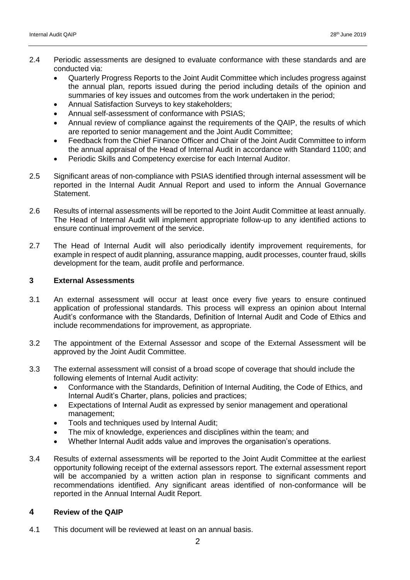- 2.4 Periodic assessments are designed to evaluate conformance with these standards and are conducted via:
	- Quarterly Progress Reports to the Joint Audit Committee which includes progress against the annual plan, reports issued during the period including details of the opinion and summaries of key issues and outcomes from the work undertaken in the period;
	- Annual Satisfaction Surveys to key stakeholders;
	- Annual self-assessment of conformance with PSIAS;
	- Annual review of compliance against the requirements of the QAIP, the results of which are reported to senior management and the Joint Audit Committee;
	- Feedback from the Chief Finance Officer and Chair of the Joint Audit Committee to inform the annual appraisal of the Head of Internal Audit in accordance with Standard 1100; and
	- Periodic Skills and Competency exercise for each Internal Auditor.
- 2.5 Significant areas of non-compliance with PSIAS identified through internal assessment will be reported in the Internal Audit Annual Report and used to inform the Annual Governance Statement.
- 2.6 Results of internal assessments will be reported to the Joint Audit Committee at least annually. The Head of Internal Audit will implement appropriate follow-up to any identified actions to ensure continual improvement of the service.
- 2.7 The Head of Internal Audit will also periodically identify improvement requirements, for example in respect of audit planning, assurance mapping, audit processes, counter fraud, skills development for the team, audit profile and performance.

#### **3 External Assessments**

- 3.1 An external assessment will occur at least once every five years to ensure continued application of professional standards. This process will express an opinion about Internal Audit's conformance with the Standards, Definition of Internal Audit and Code of Ethics and include recommendations for improvement, as appropriate.
- 3.2 The appointment of the External Assessor and scope of the External Assessment will be approved by the Joint Audit Committee.
- 3.3 The external assessment will consist of a broad scope of coverage that should include the following elements of Internal Audit activity:
	- Conformance with the Standards, Definition of Internal Auditing, the Code of Ethics, and Internal Audit's Charter, plans, policies and practices;
	- Expectations of Internal Audit as expressed by senior management and operational management;
	- Tools and techniques used by Internal Audit;
	- The mix of knowledge, experiences and disciplines within the team; and
	- Whether Internal Audit adds value and improves the organisation's operations.
- 3.4 Results of external assessments will be reported to the Joint Audit Committee at the earliest opportunity following receipt of the external assessors report. The external assessment report will be accompanied by a written action plan in response to significant comments and recommendations identified. Any significant areas identified of non-conformance will be reported in the Annual Internal Audit Report.

#### **4 Review of the QAIP**

4.1 This document will be reviewed at least on an annual basis.